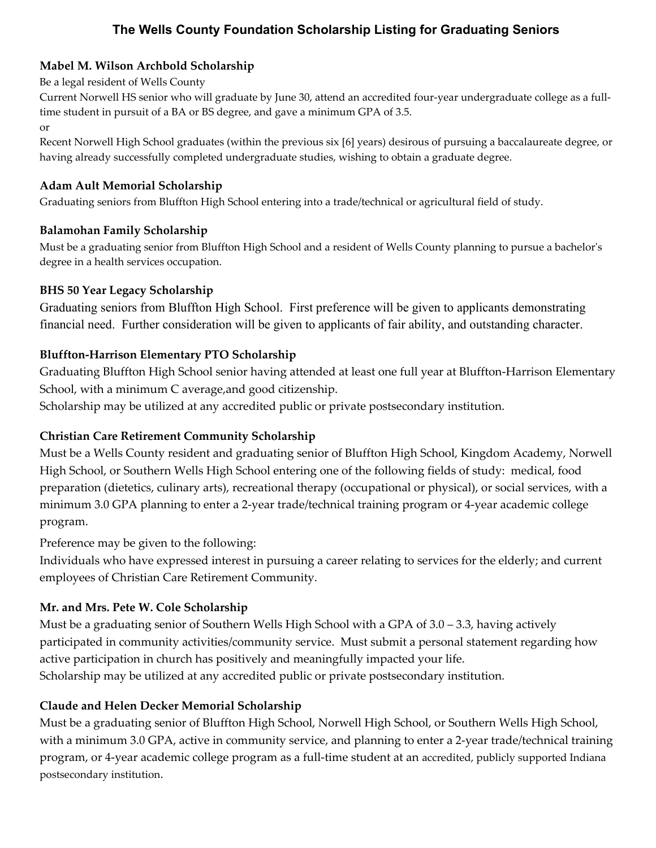# **The Wells County Foundation Scholarship Listing for Graduating Seniors**

## **Mabel M. Wilson Archbold Scholarship**

#### Be a legal resident of Wells County

Current Norwell HS senior who will graduate by June 30, attend an accredited four-year undergraduate college as a fulltime student in pursuit of a BA or BS degree, and gave a minimum GPA of 3.5. or

Recent Norwell High School graduates (within the previous six [6] years) desirous of pursuing a baccalaureate degree, or having already successfully completed undergraduate studies, wishing to obtain a graduate degree.

## **Adam Ault Memorial Scholarship**

Graduating seniors from Bluffton High School entering into a trade/technical or agricultural field of study.

#### **Balamohan Family Scholarship**

Must be a graduating senior from Bluffton High School and a resident of Wells County planning to pursue a bachelor's degree in a health services occupation.

### **BHS 50 Year Legacy Scholarship**

Graduating seniors from Bluffton High School. First preference will be given to applicants demonstrating financial need. Further consideration will be given to applicants of fair ability, and outstanding character.

## **Bluffton-Harrison Elementary PTO Scholarship**

Graduating Bluffton High School senior having attended at least one full year at Bluffton-Harrison Elementary School, with a minimum C average,and good citizenship.

Scholarship may be utilized at any accredited public or private postsecondary institution.

### **Christian Care Retirement Community Scholarship**

Must be a Wells County resident and graduating senior of Bluffton High School, Kingdom Academy, Norwell High School, or Southern Wells High School entering one of the following fields of study: medical, food preparation (dietetics, culinary arts), recreational therapy (occupational or physical), or social services, with a minimum 3.0 GPA planning to enter a 2-year trade/technical training program or 4-year academic college program.

Preference may be given to the following:

Individuals who have expressed interest in pursuing a career relating to services for the elderly; and current employees of Christian Care Retirement Community.

### **Mr. and Mrs. Pete W. Cole Scholarship**

Must be a graduating senior of Southern Wells High School with a GPA of 3.0 – 3.3, having actively participated in community activities/community service. Must submit a personal statement regarding how active participation in church has positively and meaningfully impacted your life. Scholarship may be utilized at any accredited public or private postsecondary institution.

### **Claude and Helen Decker Memorial Scholarship**

Must be a graduating senior of Bluffton High School, Norwell High School, or Southern Wells High School, with a minimum 3.0 GPA, active in community service, and planning to enter a 2-year trade/technical training program, or 4-year academic college program as a full-time student at an accredited, publicly supported Indiana postsecondary institution.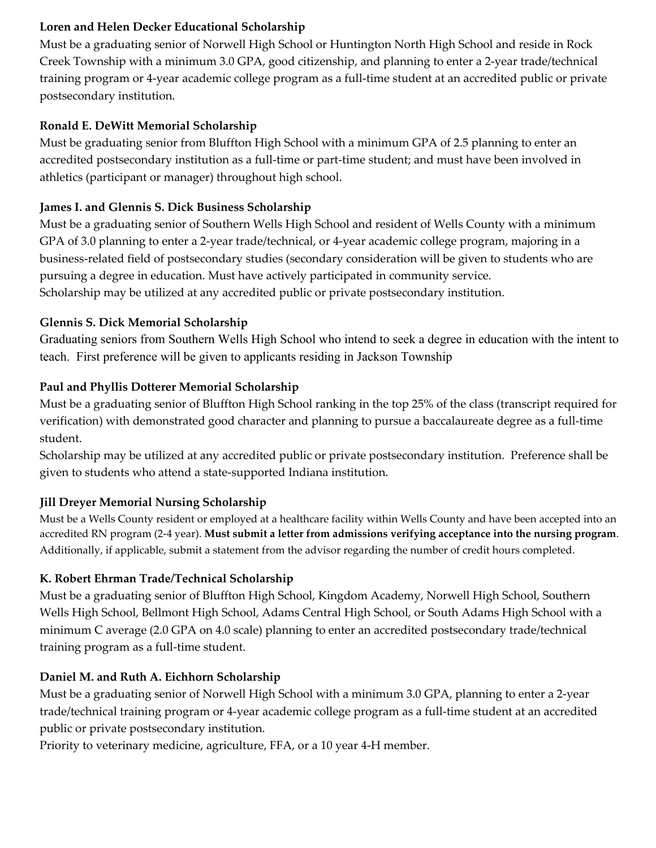## **Loren and Helen Decker Educational Scholarship**

Must be a graduating senior of Norwell High School or Huntington North High School and reside in Rock Creek Township with a minimum 3.0 GPA, good citizenship, and planning to enter a 2-year trade/technical training program or 4-year academic college program as a full-time student at an accredited public or private postsecondary institution.

### **Ronald E. DeWitt Memorial Scholarship**

Must be graduating senior from Bluffton High School with a minimum GPA of 2.5 planning to enter an accredited postsecondary institution as a full-time or part-time student; and must have been involved in athletics (participant or manager) throughout high school.

## **James I. and Glennis S. Dick Business Scholarship**

Must be a graduating senior of Southern Wells High School and resident of Wells County with a minimum GPA of 3.0 planning to enter a 2-year trade/technical, or 4-year academic college program, majoring in a business-related field of postsecondary studies (secondary consideration will be given to students who are pursuing a degree in education. Must have actively participated in community service. Scholarship may be utilized at any accredited public or private postsecondary institution.

## **Glennis S. Dick Memorial Scholarship**

Graduating seniors from Southern Wells High School who intend to seek a degree in education with the intent to teach. First preference will be given to applicants residing in Jackson Township

## **Paul and Phyllis Dotterer Memorial Scholarship**

Must be a graduating senior of Bluffton High School ranking in the top 25% of the class (transcript required for verification) with demonstrated good character and planning to pursue a baccalaureate degree as a full-time student.

Scholarship may be utilized at any accredited public or private postsecondary institution. Preference shall be given to students who attend a state-supported Indiana institution.

## **Jill Dreyer Memorial Nursing Scholarship**

Must be a Wells County resident or employed at a healthcare facility within Wells County and have been accepted into an accredited RN program (2-4 year). **Must submit a letter from admissions verifying acceptance into the nursing program**. Additionally, if applicable, submit a statement from the advisor regarding the number of credit hours completed.

### **K. Robert Ehrman Trade/Technical Scholarship**

Must be a graduating senior of Bluffton High School, Kingdom Academy, Norwell High School, Southern Wells High School, Bellmont High School, Adams Central High School, or South Adams High School with a minimum C average (2.0 GPA on 4.0 scale) planning to enter an accredited postsecondary trade/technical training program as a full-time student.

## **Daniel M. and Ruth A. Eichhorn Scholarship**

Must be a graduating senior of Norwell High School with a minimum 3.0 GPA, planning to enter a 2-year trade/technical training program or 4-year academic college program as a full-time student at an accredited public or private postsecondary institution.

Priority to veterinary medicine, agriculture, FFA, or a 10 year 4-H member.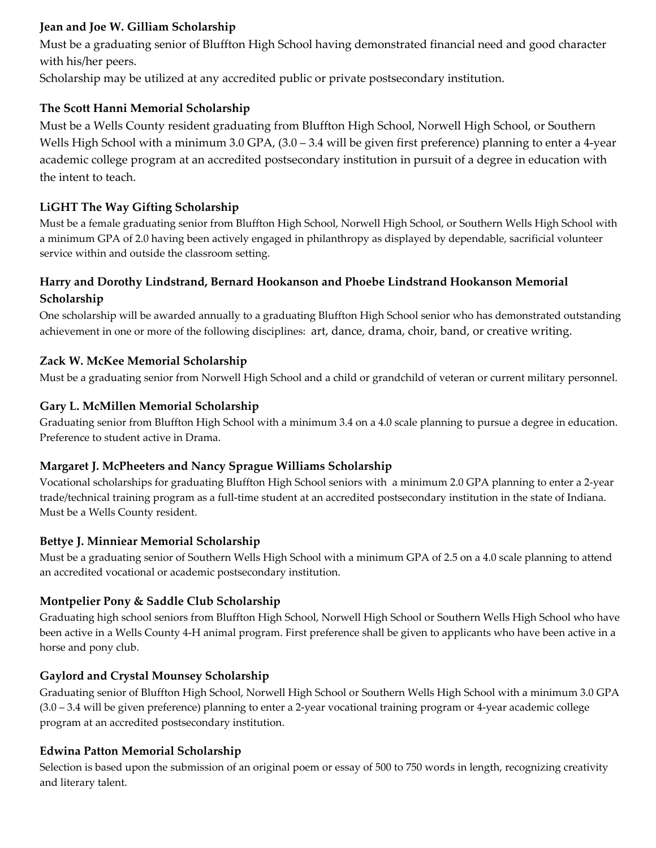### **Jean and Joe W. Gilliam Scholarship**

Must be a graduating senior of Bluffton High School having demonstrated financial need and good character with his/her peers.

Scholarship may be utilized at any accredited public or private postsecondary institution.

## **The Scott Hanni Memorial Scholarship**

Must be a Wells County resident graduating from Bluffton High School, Norwell High School, or Southern Wells High School with a minimum 3.0 GPA,  $(3.0 - 3.4$  will be given first preference) planning to enter a 4-year academic college program at an accredited postsecondary institution in pursuit of a degree in education with the intent to teach.

## **LiGHT The Way Gifting Scholarship**

Must be a female graduating senior from Bluffton High School, Norwell High School, or Southern Wells High School with a minimum GPA of 2.0 having been actively engaged in philanthropy as displayed by dependable, sacrificial volunteer service within and outside the classroom setting.

## **Harry and Dorothy Lindstrand, Bernard Hookanson and Phoebe Lindstrand Hookanson Memorial Scholarship**

One scholarship will be awarded annually to a graduating Bluffton High School senior who has demonstrated outstanding achievement in one or more of the following disciplines: art, dance, drama, choir, band, or creative writing.

## **Zack W. McKee Memorial Scholarship**

Must be a graduating senior from Norwell High School and a child or grandchild of veteran or current military personnel.

### **Gary L. McMillen Memorial Scholarship**

Graduating senior from Bluffton High School with a minimum 3.4 on a 4.0 scale planning to pursue a degree in education. Preference to student active in Drama.

### **Margaret J. McPheeters and Nancy Sprague Williams Scholarship**

Vocational scholarships for graduating Bluffton High School seniors with a minimum 2.0 GPA planning to enter a 2-year trade/technical training program as a full-time student at an accredited postsecondary institution in the state of Indiana. Must be a Wells County resident.

### **Bettye J. Minniear Memorial Scholarship**

Must be a graduating senior of Southern Wells High School with a minimum GPA of 2.5 on a 4.0 scale planning to attend an accredited vocational or academic postsecondary institution.

### **Montpelier Pony & Saddle Club Scholarship**

Graduating high school seniors from Bluffton High School, Norwell High School or Southern Wells High School who have been active in a Wells County 4-H animal program. First preference shall be given to applicants who have been active in a horse and pony club.

### **Gaylord and Crystal Mounsey Scholarship**

Graduating senior of Bluffton High School, Norwell High School or Southern Wells High School with a minimum 3.0 GPA (3.0 – 3.4 will be given preference) planning to enter a 2-year vocational training program or 4-year academic college program at an accredited postsecondary institution.

## **Edwina Patton Memorial Scholarship**

Selection is based upon the submission of an original poem or essay of 500 to 750 words in length, recognizing creativity and literary talent.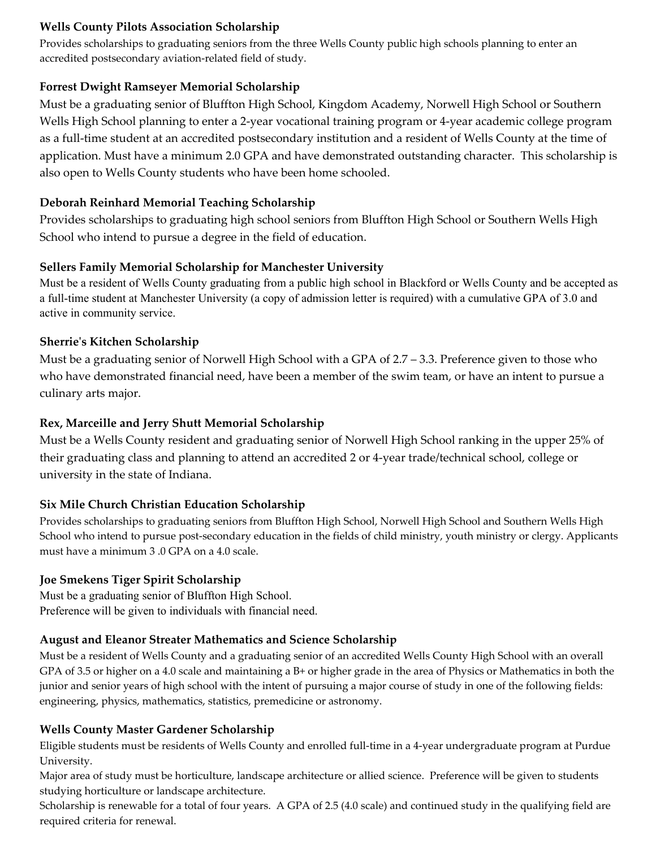### **Wells County Pilots Association Scholarship**

Provides scholarships to graduating seniors from the three Wells County public high schools planning to enter an accredited postsecondary aviation-related field of study.

### **Forrest Dwight Ramseyer Memorial Scholarship**

Must be a graduating senior of Bluffton High School, Kingdom Academy, Norwell High School or Southern Wells High School planning to enter a 2-year vocational training program or 4-year academic college program as a full-time student at an accredited postsecondary institution and a resident of Wells County at the time of application. Must have a minimum 2.0 GPA and have demonstrated outstanding character. This scholarship is also open to Wells County students who have been home schooled.

### **Deborah Reinhard Memorial Teaching Scholarship**

Provides scholarships to graduating high school seniors from Bluffton High School or Southern Wells High School who intend to pursue a degree in the field of education.

### **Sellers Family Memorial Scholarship for Manchester University**

Must be a resident of Wells County graduating from a public high school in Blackford or Wells County and be accepted as a full-time student at Manchester University (a copy of admission letter is required) with a cumulative GPA of 3.0 and active in community service.

## **Sherrie's Kitchen Scholarship**

Must be a graduating senior of Norwell High School with a GPA of 2.7 – 3.3. Preference given to those who who have demonstrated financial need, have been a member of the swim team, or have an intent to pursue a culinary arts major.

### **Rex, Marceille and Jerry Shutt Memorial Scholarship**

Must be a Wells County resident and graduating senior of Norwell High School ranking in the upper 25% of their graduating class and planning to attend an accredited 2 or 4-year trade/technical school, college or university in the state of Indiana.

## **Six Mile Church Christian Education Scholarship**

Provides scholarships to graduating seniors from Bluffton High School, Norwell High School and Southern Wells High School who intend to pursue post-secondary education in the fields of child ministry, youth ministry or clergy. Applicants must have a minimum 3 .0 GPA on a 4.0 scale.

### **Joe Smekens Tiger Spirit Scholarship**

Must be a graduating senior of Bluffton High School. Preference will be given to individuals with financial need.

### **August and Eleanor Streater Mathematics and Science Scholarship**

Must be a resident of Wells County and a graduating senior of an accredited Wells County High School with an overall GPA of 3.5 or higher on a 4.0 scale and maintaining a B+ or higher grade in the area of Physics or Mathematics in both the junior and senior years of high school with the intent of pursuing a major course of study in one of the following fields: engineering, physics, mathematics, statistics, premedicine or astronomy.

### **Wells County Master Gardener Scholarship**

Eligible students must be residents of Wells County and enrolled full-time in a 4-year undergraduate program at Purdue University.

Major area of study must be horticulture, landscape architecture or allied science. Preference will be given to students studying horticulture or landscape architecture.

Scholarship is renewable for a total of four years. A GPA of 2.5 (4.0 scale) and continued study in the qualifying field are required criteria for renewal.